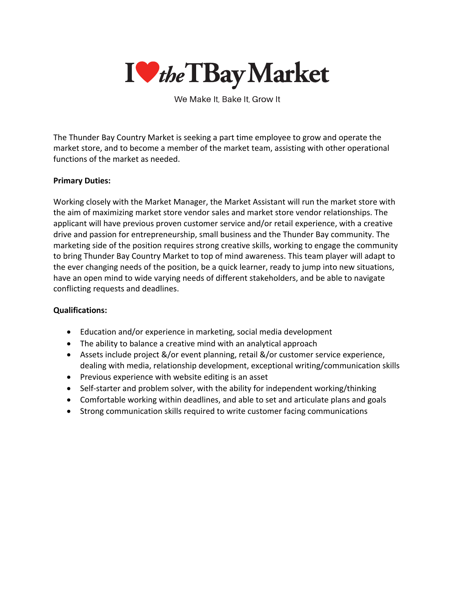

We Make It, Bake It, Grow It

The Thunder Bay Country Market is seeking a part time employee to grow and operate the market store, and to become a member of the market team, assisting with other operational functions of the market as needed.

## **Primary Duties:**

Working closely with the Market Manager, the Market Assistant will run the market store with the aim of maximizing market store vendor sales and market store vendor relationships. The applicant will have previous proven customer service and/or retail experience, with a creative drive and passion for entrepreneurship, small business and the Thunder Bay community. The marketing side of the position requires strong creative skills, working to engage the community to bring Thunder Bay Country Market to top of mind awareness. This team player will adapt to the ever changing needs of the position, be a quick learner, ready to jump into new situations, have an open mind to wide varying needs of different stakeholders, and be able to navigate conflicting requests and deadlines.

## **Qualifications:**

- Education and/or experience in marketing, social media development
- The ability to balance a creative mind with an analytical approach
- Assets include project &/or event planning, retail &/or customer service experience, dealing with media, relationship development, exceptional writing/communication skills
- Previous experience with website editing is an asset
- Self-starter and problem solver, with the ability for independent working/thinking
- Comfortable working within deadlines, and able to set and articulate plans and goals
- Strong communication skills required to write customer facing communications